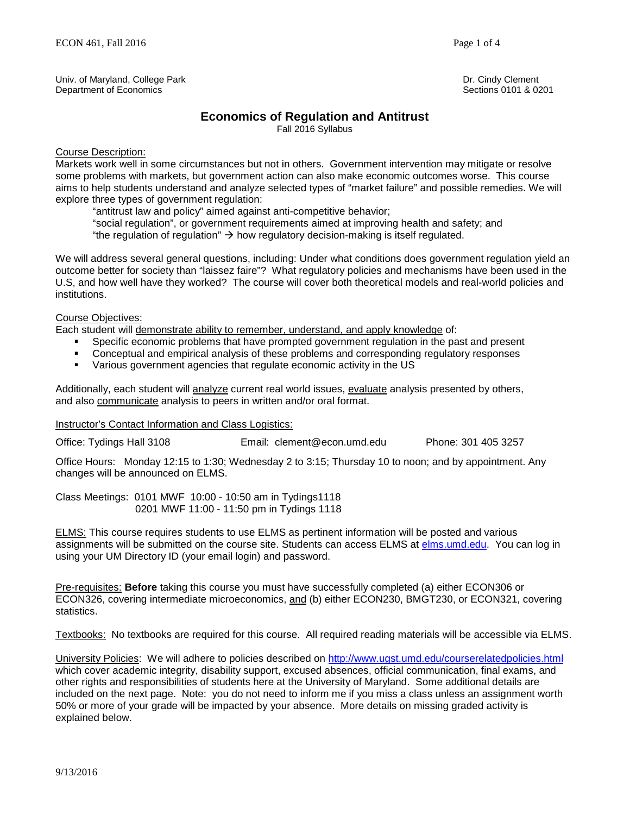Univ. of Maryland, College Park **Dr. Cindy Clement** Dr. Cindy Clement Dr. Cindy Clement<br>Department of Economics **Dr. Cindy Clement** Dr. Cindy Clement College of the Dr. Cindy Clement Of Sections 0101 Department of Economics

# **Economics of Regulation and Antitrust**

Fall 2016 Syllabus

### Course Description:

Markets work well in some circumstances but not in others. Government intervention may mitigate or resolve some problems with markets, but government action can also make economic outcomes worse. This course aims to help students understand and analyze selected types of "market failure" and possible remedies. We will explore three types of government regulation:

"antitrust law and policy" aimed against anti-competitive behavior;

"social regulation", or government requirements aimed at improving health and safety; and "the regulation of regulation"  $\rightarrow$  how regulatory decision-making is itself regulated.

We will address several general questions, including: Under what conditions does government regulation yield an outcome better for society than "laissez faire"? What regulatory policies and mechanisms have been used in the U.S, and how well have they worked? The course will cover both theoretical models and real-world policies and institutions.

Course Objectives:

Each student will demonstrate ability to remember, understand, and apply knowledge of:

- Specific economic problems that have prompted government regulation in the past and present
- Conceptual and empirical analysis of these problems and corresponding regulatory responses
- Various government agencies that regulate economic activity in the US

Additionally, each student will analyze current real world issues, evaluate analysis presented by others, and also communicate analysis to peers in written and/or oral format.

#### Instructor's Contact Information and Class Logistics:

Office: Tydings Hall 3108 Email: clement@econ.umd.edu Phone: 301 405 3257

Office Hours: Monday 12:15 to 1:30; Wednesday 2 to 3:15; Thursday 10 to noon; and by appointment. Any changes will be announced on ELMS.

Class Meetings: 0101 MWF 10:00 - 10:50 am in Tydings1118 0201 MWF 11:00 - 11:50 pm in Tydings 1118

ELMS: This course requires students to use ELMS as pertinent information will be posted and various assignments will be submitted on the course site. Students can access ELMS at [elms.umd.edu.](http://elms.umd.edu/) You can log in using your UM Directory ID (your email login) and password.

Pre-requisites: **Before** taking this course you must have successfully completed (a) either ECON306 or ECON326, covering intermediate microeconomics, and (b) either ECON230, BMGT230, or ECON321, covering statistics.

Textbooks: No textbooks are required for this course. All required reading materials will be accessible via ELMS.

University Policies: We will adhere to policies described on<http://www.ugst.umd.edu/courserelatedpolicies.html> which cover academic integrity, disability support, excused absences, official communication, final exams, and other rights and responsibilities of students here at the University of Maryland. Some additional details are included on the next page. Note: you do not need to inform me if you miss a class unless an assignment worth 50% or more of your grade will be impacted by your absence. More details on missing graded activity is explained below.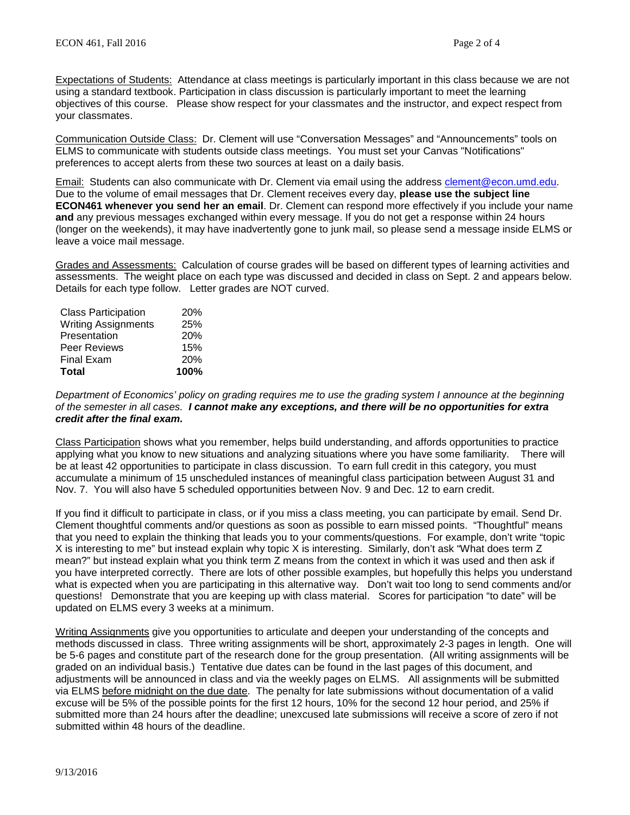Expectations of Students: Attendance at class meetings is particularly important in this class because we are not using a standard textbook. Participation in class discussion is particularly important to meet the learning objectives of this course. Please show respect for your classmates and the instructor, and expect respect from your classmates.

Communication Outside Class: Dr. Clement will use "Conversation Messages" and "Announcements" tools on ELMS to communicate with students outside class meetings. You must set your Canvas "Notifications" preferences to accept alerts from these two sources at least on a daily basis.

Email: Students can also communicate with Dr. Clement via email using the address [clement@econ.umd.edu.](https://myelms.umd.edu/courses/875270/wiki/clement@econ.umd.edu) Due to the volume of email messages that Dr. Clement receives every day, **please use the subject line ECON461 whenever you send her an email**. Dr. Clement can respond more effectively if you include your name **and** any previous messages exchanged within every message. If you do not get a response within 24 hours (longer on the weekends), it may have inadvertently gone to junk mail, so please send a message inside ELMS or leave a voice mail message.

Grades and Assessments: Calculation of course grades will be based on different types of learning activities and assessments. The weight place on each type was discussed and decided in class on Sept. 2 and appears below. Details for each type follow. Letter grades are NOT curved.

| <b>Class Participation</b> | <b>20%</b> |
|----------------------------|------------|
| <b>Writing Assignments</b> | 25%        |
| Presentation               | <b>20%</b> |
| Peer Reviews               | 15%        |
| <b>Final Exam</b>          | 20%        |
| <b>Total</b>               | 100%       |

*Department of Economics' policy on grading requires me to use the grading system I announce at the beginning of the semester in all cases. I cannot make any exceptions, and there will be no opportunities for extra credit after the final exam.*

Class Participation shows what you remember, helps build understanding, and affords opportunities to practice applying what you know to new situations and analyzing situations where you have some familiarity. There will be at least 42 opportunities to participate in class discussion. To earn full credit in this category, you must accumulate a minimum of 15 unscheduled instances of meaningful class participation between August 31 and Nov. 7. You will also have 5 scheduled opportunities between Nov. 9 and Dec. 12 to earn credit.

If you find it difficult to participate in class, or if you miss a class meeting, you can participate by email. Send Dr. Clement thoughtful comments and/or questions as soon as possible to earn missed points. "Thoughtful" means that you need to explain the thinking that leads you to your comments/questions. For example, don't write "topic X is interesting to me" but instead explain why topic X is interesting. Similarly, don't ask "What does term Z mean?" but instead explain what you think term Z means from the context in which it was used and then ask if you have interpreted correctly. There are lots of other possible examples, but hopefully this helps you understand what is expected when you are participating in this alternative way. Don't wait too long to send comments and/or questions! Demonstrate that you are keeping up with class material. Scores for participation "to date" will be updated on ELMS every 3 weeks at a minimum.

Writing Assignments give you opportunities to articulate and deepen your understanding of the concepts and methods discussed in class. Three writing assignments will be short, approximately 2-3 pages in length. One will be 5-6 pages and constitute part of the research done for the group presentation. (All writing assignments will be graded on an individual basis.) Tentative due dates can be found in the last pages of this document, and adjustments will be announced in class and via the weekly pages on ELMS. All assignments will be submitted via ELMS before midnight on the due date. The penalty for late submissions without documentation of a valid excuse will be 5% of the possible points for the first 12 hours, 10% for the second 12 hour period, and 25% if submitted more than 24 hours after the deadline; unexcused late submissions will receive a score of zero if not submitted within 48 hours of the deadline.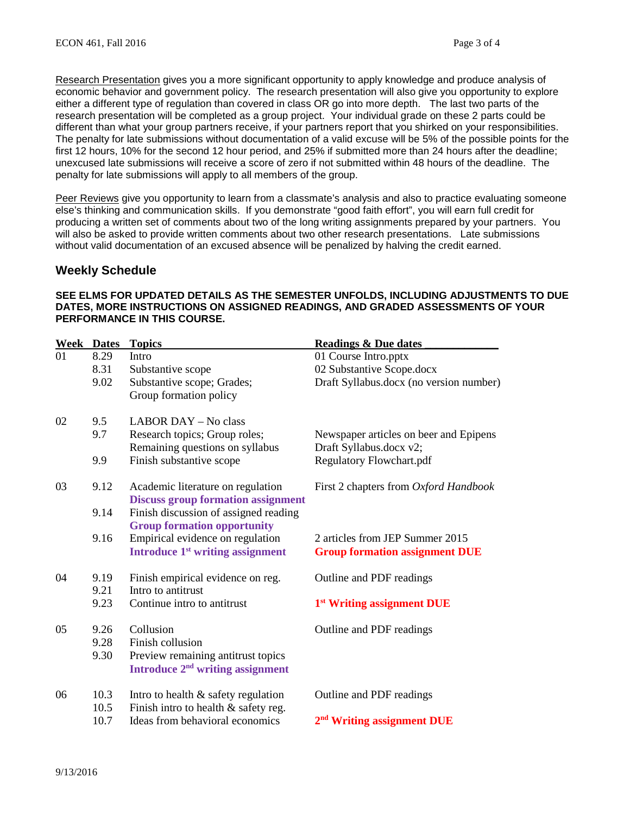Research Presentation gives you a more significant opportunity to apply knowledge and produce analysis of economic behavior and government policy. The research presentation will also give you opportunity to explore either a different type of regulation than covered in class OR go into more depth. The last two parts of the research presentation will be completed as a group project. Your individual grade on these 2 parts could be different than what your group partners receive, if your partners report that you shirked on your responsibilities. The penalty for late submissions without documentation of a valid excuse will be 5% of the possible points for the first 12 hours, 10% for the second 12 hour period, and 25% if submitted more than 24 hours after the deadline; unexcused late submissions will receive a score of zero if not submitted within 48 hours of the deadline. The penalty for late submissions will apply to all members of the group.

Peer Reviews give you opportunity to learn from a classmate's analysis and also to practice evaluating someone else's thinking and communication skills. If you demonstrate "good faith effort", you will earn full credit for producing a written set of comments about two of the long writing assignments prepared by your partners. You will also be asked to provide written comments about two other research presentations. Late submissions without valid documentation of an excused absence will be penalized by halving the credit earned.

## **Weekly Schedule**

### **SEE ELMS FOR UPDATED DETAILS AS THE SEMESTER UNFOLDS, INCLUDING ADJUSTMENTS TO DUE DATES, MORE INSTRUCTIONS ON ASSIGNED READINGS, AND GRADED ASSESSMENTS OF YOUR PERFORMANCE IN THIS COURSE.**

|    | <b>Week Dates</b> | <b>Topics</b>                                | <b>Readings &amp; Due dates</b>         |
|----|-------------------|----------------------------------------------|-----------------------------------------|
| 01 | 8.29              | Intro                                        | 01 Course Intro.pptx                    |
|    | 8.31              | Substantive scope                            | 02 Substantive Scope.docx               |
|    | 9.02              | Substantive scope; Grades;                   | Draft Syllabus.docx (no version number) |
|    |                   | Group formation policy                       |                                         |
| 02 | 9.5               | LABOR DAY - No class                         |                                         |
|    | 9.7               | Research topics; Group roles;                | Newspaper articles on beer and Epipens  |
|    |                   | Remaining questions on syllabus              | Draft Syllabus.docx v2;                 |
|    | 9.9               | Finish substantive scope                     | <b>Regulatory Flowchart.pdf</b>         |
| 03 | 9.12              | Academic literature on regulation            | First 2 chapters from Oxford Handbook   |
|    |                   | <b>Discuss group formation assignment</b>    |                                         |
|    | 9.14              | Finish discussion of assigned reading        |                                         |
|    |                   | <b>Group formation opportunity</b>           |                                         |
|    | 9.16              | Empirical evidence on regulation             | 2 articles from JEP Summer 2015         |
|    |                   | Introduce 1 <sup>st</sup> writing assignment | <b>Group formation assignment DUE</b>   |
| 04 | 9.19              | Finish empirical evidence on reg.            | Outline and PDF readings                |
|    | 9.21              | Intro to antitrust                           |                                         |
|    | 9.23              | Continue intro to antitrust                  | 1 <sup>st</sup> Writing assignment DUE  |
| 05 | 9.26              | Collusion                                    | Outline and PDF readings                |
|    | 9.28              | Finish collusion                             |                                         |
|    | 9.30              | Preview remaining antitrust topics           |                                         |
|    |                   | Introduce 2 <sup>nd</sup> writing assignment |                                         |
| 06 | 10.3              | Intro to health $&$ safety regulation        | Outline and PDF readings                |
|    | 10.5              | Finish intro to health & safety reg.         |                                         |
|    | 10.7              | Ideas from behavioral economics              | 2 <sup>nd</sup> Writing assignment DUE  |